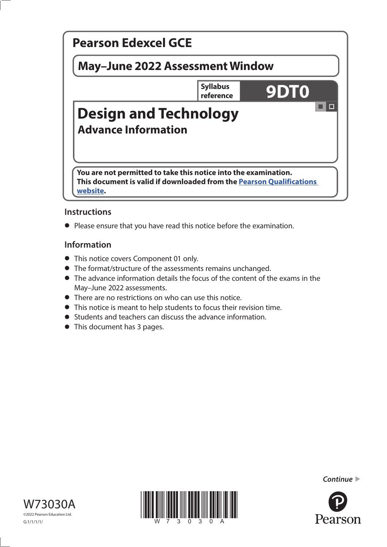

# **Instructions**

**•** Please ensure that you have read this notice before the examination.

## **Information**

- **•** This notice covers Component 01 only.
- **•** The format/structure of the assessments remains unchanged.
- **•** The advance information details the focus of the content of the exams in the May–June 2022 assessments.
- **•** There are no restrictions on who can use this notice.
- **•** This notice is meant to help students to focus their revision time.
- **•** Students and teachers can discuss the advance information.
- **•** This document has 3 pages.







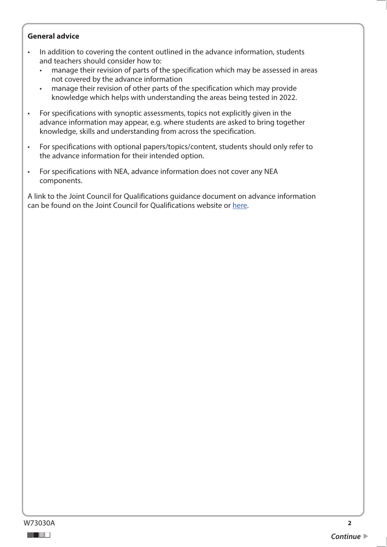#### **General advice**

- In addition to covering the content outlined in the advance information, students and teachers should consider how to:
	- manage their revision of parts of the specification which may be assessed in areas not covered by the advance information
	- manage their revision of other parts of the specification which may provide knowledge which helps with understanding the areas being tested in 2022.
- For specifications with synoptic assessments, topics not explicitly given in the advance information may appear, e.g. where students are asked to bring together knowledge, skills and understanding from across the specification.
- For specifications with optional papers/topics/content, students should only refer to the advance information for their intended option.
- For specifications with NEA, advance information does not cover any NEA components.

A link to the Joint Council for Qualifications guidance document on advance information can be found on the Joint Council for Qualifications website or [here.](https://www.jcq.org.uk/wp-content/uploads/2021/10/Advance-Information-for-General-Qualifications-2021-22.pdf)